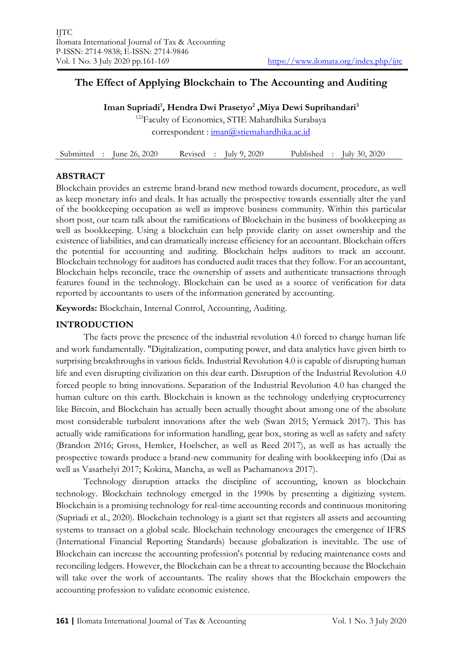# **The Effect of Applying Blockchain to The Accounting and Auditing**

**Iman Supriadi<sup>1</sup> , Hendra Dwi Prasetyo<sup>2</sup> ,Miya Dewi Suprihandari<sup>3</sup>**

<sup>123</sup>Faculty of Economics, STIE Mahardhika Surabaya correspondent : [iman@stiemahardhika.ac.id](mailto:iman@stiemahardhika.ac.id)

Submitted : June 26, 2020 Revised : July 9, 2020 Published : July 30, 2020

# **ABSTRACT**

Blockchain provides an extreme brand-brand new method towards document, procedure, as well as keep monetary info and deals. It has actually the prospective towards essentially alter the yard of the bookkeeping occupation as well as improve business community. Within this particular short post, our team talk about the ramifications of Blockchain in the business of bookkeeping as well as bookkeeping. Using a blockchain can help provide clarity on asset ownership and the existence of liabilities, and can dramatically increase efficiency for an accountant. Blockchain offers the potential for accounting and auditing. Blockchain helps auditors to track an account. Blockchain technology for auditors has conducted audit traces that they follow. For an accountant, Blockchain helps reconcile, trace the ownership of assets and authenticate transactions through features found in the technology. Blockchain can be used as a source of verification for data reported by accountants to users of the information generated by accounting.

**Keywords:** Blockchain, Internal Control, Accounting, Auditing.

# **INTRODUCTION**

The facts prove the presence of the industrial revolution 4.0 forced to change human life and work fundamentally. "Digitalization, computing power, and data analytics have given birth to surprising breakthroughs in various fields. Industrial Revolution 4.0 is capable of disrupting human life and even disrupting civilization on this dear earth. Disruption of the Industrial Revolution 4.0 forced people to bring innovations. Separation of the Industrial Revolution 4.0 has changed the human culture on this earth. Blockchain is known as the technology underlying cryptocurrency like Bitcoin, and Blockchain has actually been actually thought about among one of the absolute most considerable turbulent innovations after the web (Swan 2015; Yermack 2017). This has actually wide ramifications for information handling, gear box, storing as well as safety and safety (Brandon 2016; Gross, Hemker, Hoelscher, as well as Reed 2017), as well as has actually the prospective towards produce a brand-new community for dealing with bookkeeping info (Dai as well as Vasarhelyi 2017; Kokina, Mancha, as well as Pachamanova 2017).

Technology disruption attacks the discipline of accounting, known as blockchain technology. Blockchain technology emerged in the 1990s by presenting a digitizing system. Blockchain is a promising technology for real-time accounting records and continuous monitoring (Supriadi et al., 2020). Blockchain technology is a giant set that registers all assets and accounting systems to transact on a global scale. Blockchain technology encourages the emergence of IFRS (International Financial Reporting Standards) because globalization is inevitable. The use of Blockchain can increase the accounting profession's potential by reducing maintenance costs and reconciling ledgers. However, the Blockchain can be a threat to accounting because the Blockchain will take over the work of accountants. The reality shows that the Blockchain empowers the accounting profession to validate economic existence.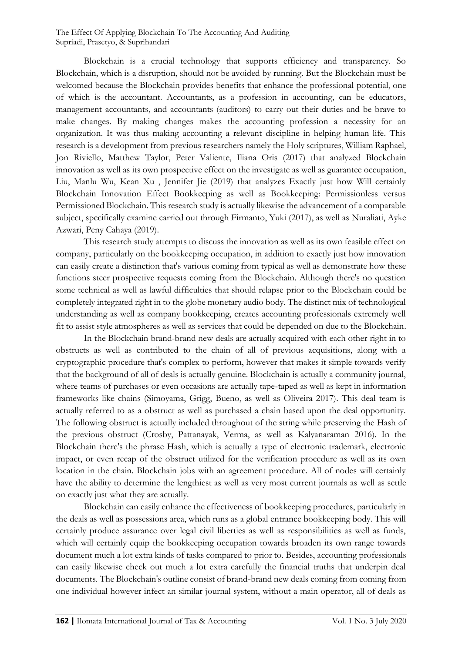Blockchain is a crucial technology that supports efficiency and transparency. So Blockchain, which is a disruption, should not be avoided by running. But the Blockchain must be welcomed because the Blockchain provides benefits that enhance the professional potential, one of which is the accountant. Accountants, as a profession in accounting, can be educators, management accountants, and accountants (auditors) to carry out their duties and be brave to make changes. By making changes makes the accounting profession a necessity for an organization. It was thus making accounting a relevant discipline in helping human life. This research is a development from previous researchers namely the Holy scriptures, William Raphael, Jon Riviello, Matthew Taylor, Peter Valiente, Iliana Oris (2017) that analyzed Blockchain innovation as well as its own prospective effect on the investigate as well as guarantee occupation, Liu, Manlu Wu, Kean Xu , Jennifer Jie (2019) that analyzes Exactly just how Will certainly Blockchain Innovation Effect Bookkeeping as well as Bookkeeping: Permissionless versus Permissioned Blockchain. This research study is actually likewise the advancement of a comparable subject, specifically examine carried out through Firmanto, Yuki (2017), as well as Nuraliati, Ayke Azwari, Peny Cahaya (2019).

This research study attempts to discuss the innovation as well as its own feasible effect on company, particularly on the bookkeeping occupation, in addition to exactly just how innovation can easily create a distinction that's various coming from typical as well as demonstrate how these functions steer prospective requests coming from the Blockchain. Although there's no question some technical as well as lawful difficulties that should relapse prior to the Blockchain could be completely integrated right in to the globe monetary audio body. The distinct mix of technological understanding as well as company bookkeeping, creates accounting professionals extremely well fit to assist style atmospheres as well as services that could be depended on due to the Blockchain.

In the Blockchain brand-brand new deals are actually acquired with each other right in to obstructs as well as contributed to the chain of all of previous acquisitions, along with a cryptographic procedure that's complex to perform, however that makes it simple towards verify that the background of all of deals is actually genuine. Blockchain is actually a community journal, where teams of purchases or even occasions are actually tape-taped as well as kept in information frameworks like chains (Simoyama, Grigg, Bueno, as well as Oliveira 2017). This deal team is actually referred to as a obstruct as well as purchased a chain based upon the deal opportunity. The following obstruct is actually included throughout of the string while preserving the Hash of the previous obstruct (Crosby, Pattanayak, Verma, as well as Kalyanaraman 2016). In the Blockchain there's the phrase Hash, which is actually a type of electronic trademark, electronic impact, or even recap of the obstruct utilized for the verification procedure as well as its own location in the chain. Blockchain jobs with an agreement procedure. All of nodes will certainly have the ability to determine the lengthiest as well as very most current journals as well as settle on exactly just what they are actually.

Blockchain can easily enhance the effectiveness of bookkeeping procedures, particularly in the deals as well as possessions area, which runs as a global entrance bookkeeping body. This will certainly produce assurance over legal civil liberties as well as responsibilities as well as funds, which will certainly equip the bookkeeping occupation towards broaden its own range towards document much a lot extra kinds of tasks compared to prior to. Besides, accounting professionals can easily likewise check out much a lot extra carefully the financial truths that underpin deal documents. The Blockchain's outline consist of brand-brand new deals coming from coming from one individual however infect an similar journal system, without a main operator, all of deals as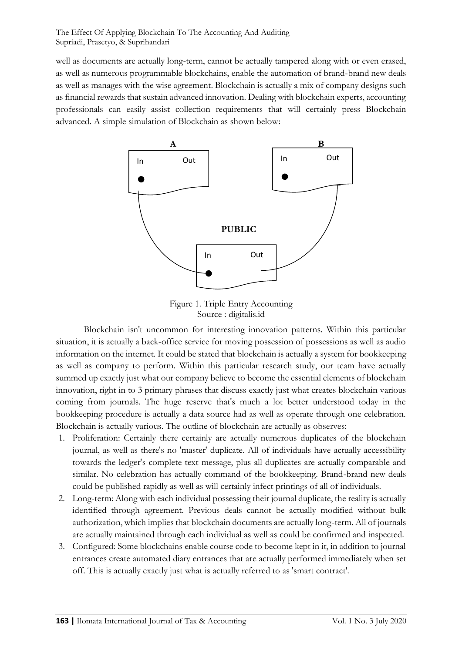well as documents are actually long-term, cannot be actually tampered along with or even erased, as well as numerous programmable blockchains, enable the automation of brand-brand new deals as well as manages with the wise agreement. Blockchain is actually a mix of company designs such as financial rewards that sustain advanced innovation. Dealing with blockchain experts, accounting professionals can easily assist collection requirements that will certainly press Blockchain advanced. A simple simulation of Blockchain as shown below:



Figure 1. Triple Entry Accounting Source : digitalis.id

Blockchain isn't uncommon for interesting innovation patterns. Within this particular situation, it is actually a back-office service for moving possession of possessions as well as audio information on the internet. It could be stated that blockchain is actually a system for bookkeeping as well as company to perform. Within this particular research study, our team have actually summed up exactly just what our company believe to become the essential elements of blockchain innovation, right in to 3 primary phrases that discuss exactly just what creates blockchain various coming from journals. The huge reserve that's much a lot better understood today in the bookkeeping procedure is actually a data source had as well as operate through one celebration. Blockchain is actually various. The outline of blockchain are actually as observes:

- 1. Proliferation: Certainly there certainly are actually numerous duplicates of the blockchain journal, as well as there's no 'master' duplicate. All of individuals have actually accessibility towards the ledger's complete text message, plus all duplicates are actually comparable and similar. No celebration has actually command of the bookkeeping. Brand-brand new deals could be published rapidly as well as will certainly infect printings of all of individuals.
- 2. Long-term: Along with each individual possessing their journal duplicate, the reality is actually identified through agreement. Previous deals cannot be actually modified without bulk authorization, which implies that blockchain documents are actually long-term. All of journals are actually maintained through each individual as well as could be confirmed and inspected.
- 3. Configured: Some blockchains enable course code to become kept in it, in addition to journal entrances create automated diary entrances that are actually performed immediately when set off. This is actually exactly just what is actually referred to as 'smart contract'.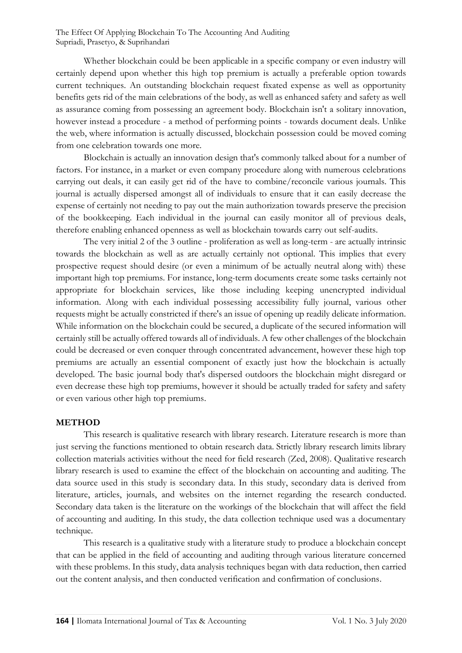Whether blockchain could be been applicable in a specific company or even industry will certainly depend upon whether this high top premium is actually a preferable option towards current techniques. An outstanding blockchain request fixated expense as well as opportunity benefits gets rid of the main celebrations of the body, as well as enhanced safety and safety as well as assurance coming from possessing an agreement body. Blockchain isn't a solitary innovation, however instead a procedure - a method of performing points - towards document deals. Unlike the web, where information is actually discussed, blockchain possession could be moved coming from one celebration towards one more.

Blockchain is actually an innovation design that's commonly talked about for a number of factors. For instance, in a market or even company procedure along with numerous celebrations carrying out deals, it can easily get rid of the have to combine/reconcile various journals. This journal is actually dispersed amongst all of individuals to ensure that it can easily decrease the expense of certainly not needing to pay out the main authorization towards preserve the precision of the bookkeeping. Each individual in the journal can easily monitor all of previous deals, therefore enabling enhanced openness as well as blockchain towards carry out self-audits.

The very initial 2 of the 3 outline - proliferation as well as long-term - are actually intrinsic towards the blockchain as well as are actually certainly not optional. This implies that every prospective request should desire (or even a minimum of be actually neutral along with) these important high top premiums. For instance, long-term documents create some tasks certainly not appropriate for blockchain services, like those including keeping unencrypted individual information. Along with each individual possessing accessibility fully journal, various other requests might be actually constricted if there's an issue of opening up readily delicate information. While information on the blockchain could be secured, a duplicate of the secured information will certainly still be actually offered towards all of individuals. A few other challenges of the blockchain could be decreased or even conquer through concentrated advancement, however these high top premiums are actually an essential component of exactly just how the blockchain is actually developed. The basic journal body that's dispersed outdoors the blockchain might disregard or even decrease these high top premiums, however it should be actually traded for safety and safety or even various other high top premiums.

#### **METHOD**

This research is qualitative research with library research. Literature research is more than just serving the functions mentioned to obtain research data. Strictly library research limits library collection materials activities without the need for field research (Zed, 2008). Qualitative research library research is used to examine the effect of the blockchain on accounting and auditing. The data source used in this study is secondary data. In this study, secondary data is derived from literature, articles, journals, and websites on the internet regarding the research conducted. Secondary data taken is the literature on the workings of the blockchain that will affect the field of accounting and auditing. In this study, the data collection technique used was a documentary technique.

This research is a qualitative study with a literature study to produce a blockchain concept that can be applied in the field of accounting and auditing through various literature concerned with these problems. In this study, data analysis techniques began with data reduction, then carried out the content analysis, and then conducted verification and confirmation of conclusions.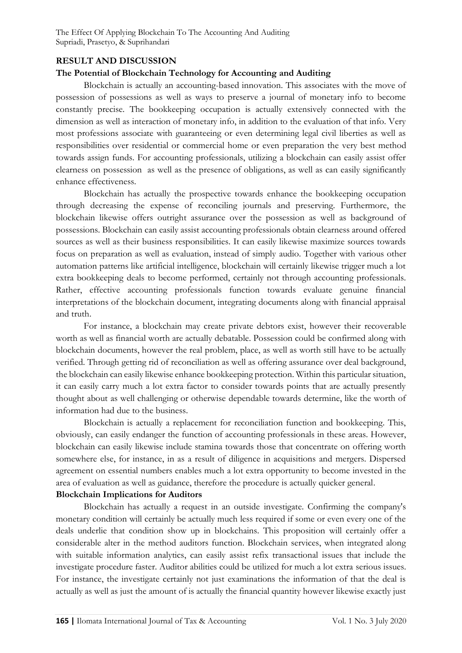### **RESULT AND DISCUSSION**

### **The Potential of Blockchain Technology for Accounting and Auditing**

Blockchain is actually an accounting-based innovation. This associates with the move of possession of possessions as well as ways to preserve a journal of monetary info to become constantly precise. The bookkeeping occupation is actually extensively connected with the dimension as well as interaction of monetary info, in addition to the evaluation of that info. Very most professions associate with guaranteeing or even determining legal civil liberties as well as responsibilities over residential or commercial home or even preparation the very best method towards assign funds. For accounting professionals, utilizing a blockchain can easily assist offer clearness on possession as well as the presence of obligations, as well as can easily significantly enhance effectiveness.

Blockchain has actually the prospective towards enhance the bookkeeping occupation through decreasing the expense of reconciling journals and preserving. Furthermore, the blockchain likewise offers outright assurance over the possession as well as background of possessions. Blockchain can easily assist accounting professionals obtain clearness around offered sources as well as their business responsibilities. It can easily likewise maximize sources towards focus on preparation as well as evaluation, instead of simply audio. Together with various other automation patterns like artificial intelligence, blockchain will certainly likewise trigger much a lot extra bookkeeping deals to become performed, certainly not through accounting professionals. Rather, effective accounting professionals function towards evaluate genuine financial interpretations of the blockchain document, integrating documents along with financial appraisal and truth.

For instance, a blockchain may create private debtors exist, however their recoverable worth as well as financial worth are actually debatable. Possession could be confirmed along with blockchain documents, however the real problem, place, as well as worth still have to be actually verified. Through getting rid of reconciliation as well as offering assurance over deal background, the blockchain can easily likewise enhance bookkeeping protection. Within this particular situation, it can easily carry much a lot extra factor to consider towards points that are actually presently thought about as well challenging or otherwise dependable towards determine, like the worth of information had due to the business.

Blockchain is actually a replacement for reconciliation function and bookkeeping. This, obviously, can easily endanger the function of accounting professionals in these areas. However, blockchain can easily likewise include stamina towards those that concentrate on offering worth somewhere else, for instance, in as a result of diligence in acquisitions and mergers. Dispersed agreement on essential numbers enables much a lot extra opportunity to become invested in the area of evaluation as well as guidance, therefore the procedure is actually quicker general.

#### **Blockchain Implications for Auditors**

Blockchain has actually a request in an outside investigate. Confirming the company's monetary condition will certainly be actually much less required if some or even every one of the deals underlie that condition show up in blockchains. This proposition will certainly offer a considerable alter in the method auditors function. Blockchain services, when integrated along with suitable information analytics, can easily assist refix transactional issues that include the investigate procedure faster. Auditor abilities could be utilized for much a lot extra serious issues. For instance, the investigate certainly not just examinations the information of that the deal is actually as well as just the amount of is actually the financial quantity however likewise exactly just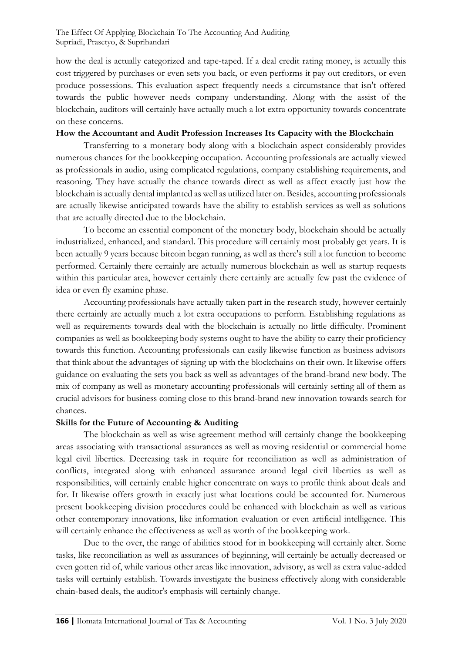how the deal is actually categorized and tape-taped. If a deal credit rating money, is actually this cost triggered by purchases or even sets you back, or even performs it pay out creditors, or even produce possessions. This evaluation aspect frequently needs a circumstance that isn't offered towards the public however needs company understanding. Along with the assist of the blockchain, auditors will certainly have actually much a lot extra opportunity towards concentrate on these concerns.

#### **How the Accountant and Audit Profession Increases Its Capacity with the Blockchain**

Transferring to a monetary body along with a blockchain aspect considerably provides numerous chances for the bookkeeping occupation. Accounting professionals are actually viewed as professionals in audio, using complicated regulations, company establishing requirements, and reasoning. They have actually the chance towards direct as well as affect exactly just how the blockchain is actually dental implanted as well as utilized later on. Besides, accounting professionals are actually likewise anticipated towards have the ability to establish services as well as solutions that are actually directed due to the blockchain.

To become an essential component of the monetary body, blockchain should be actually industrialized, enhanced, and standard. This procedure will certainly most probably get years. It is been actually 9 years because bitcoin began running, as well as there's still a lot function to become performed. Certainly there certainly are actually numerous blockchain as well as startup requests within this particular area, however certainly there certainly are actually few past the evidence of idea or even fly examine phase.

Accounting professionals have actually taken part in the research study, however certainly there certainly are actually much a lot extra occupations to perform. Establishing regulations as well as requirements towards deal with the blockchain is actually no little difficulty. Prominent companies as well as bookkeeping body systems ought to have the ability to carry their proficiency towards this function. Accounting professionals can easily likewise function as business advisors that think about the advantages of signing up with the blockchains on their own. It likewise offers guidance on evaluating the sets you back as well as advantages of the brand-brand new body. The mix of company as well as monetary accounting professionals will certainly setting all of them as crucial advisors for business coming close to this brand-brand new innovation towards search for chances.

# **Skills for the Future of Accounting & Auditing**

The blockchain as well as wise agreement method will certainly change the bookkeeping areas associating with transactional assurances as well as moving residential or commercial home legal civil liberties. Decreasing task in require for reconciliation as well as administration of conflicts, integrated along with enhanced assurance around legal civil liberties as well as responsibilities, will certainly enable higher concentrate on ways to profile think about deals and for. It likewise offers growth in exactly just what locations could be accounted for. Numerous present bookkeeping division procedures could be enhanced with blockchain as well as various other contemporary innovations, like information evaluation or even artificial intelligence. This will certainly enhance the effectiveness as well as worth of the bookkeeping work.

Due to the over, the range of abilities stood for in bookkeeping will certainly alter. Some tasks, like reconciliation as well as assurances of beginning, will certainly be actually decreased or even gotten rid of, while various other areas like innovation, advisory, as well as extra value-added tasks will certainly establish. Towards investigate the business effectively along with considerable chain-based deals, the auditor's emphasis will certainly change.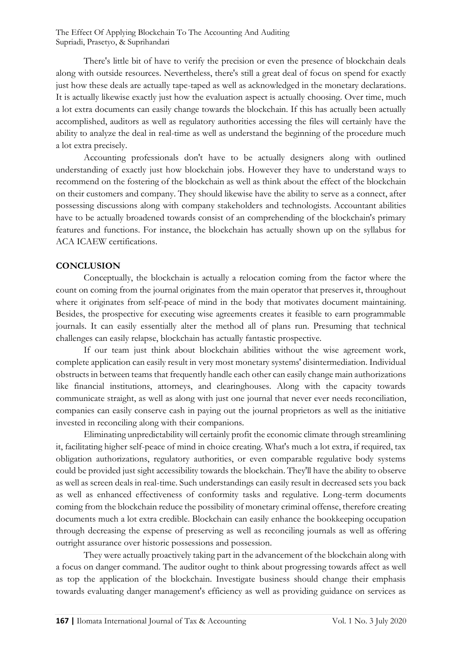There's little bit of have to verify the precision or even the presence of blockchain deals along with outside resources. Nevertheless, there's still a great deal of focus on spend for exactly just how these deals are actually tape-taped as well as acknowledged in the monetary declarations. It is actually likewise exactly just how the evaluation aspect is actually choosing. Over time, much a lot extra documents can easily change towards the blockchain. If this has actually been actually accomplished, auditors as well as regulatory authorities accessing the files will certainly have the ability to analyze the deal in real-time as well as understand the beginning of the procedure much a lot extra precisely.

Accounting professionals don't have to be actually designers along with outlined understanding of exactly just how blockchain jobs. However they have to understand ways to recommend on the fostering of the blockchain as well as think about the effect of the blockchain on their customers and company. They should likewise have the ability to serve as a connect, after possessing discussions along with company stakeholders and technologists. Accountant abilities have to be actually broadened towards consist of an comprehending of the blockchain's primary features and functions. For instance, the blockchain has actually shown up on the syllabus for ACA ICAEW certifications.

#### **CONCLUSION**

Conceptually, the blockchain is actually a relocation coming from the factor where the count on coming from the journal originates from the main operator that preserves it, throughout where it originates from self-peace of mind in the body that motivates document maintaining. Besides, the prospective for executing wise agreements creates it feasible to earn programmable journals. It can easily essentially alter the method all of plans run. Presuming that technical challenges can easily relapse, blockchain has actually fantastic prospective.

If our team just think about blockchain abilities without the wise agreement work, complete application can easily result in very most monetary systems' disintermediation. Individual obstructs in between teams that frequently handle each other can easily change main authorizations like financial institutions, attorneys, and clearinghouses. Along with the capacity towards communicate straight, as well as along with just one journal that never ever needs reconciliation, companies can easily conserve cash in paying out the journal proprietors as well as the initiative invested in reconciling along with their companions.

Eliminating unpredictability will certainly profit the economic climate through streamlining it, facilitating higher self-peace of mind in choice creating. What's much a lot extra, if required, tax obligation authorizations, regulatory authorities, or even comparable regulative body systems could be provided just sight accessibility towards the blockchain. They'll have the ability to observe as well as screen deals in real-time. Such understandings can easily result in decreased sets you back as well as enhanced effectiveness of conformity tasks and regulative. Long-term documents coming from the blockchain reduce the possibility of monetary criminal offense, therefore creating documents much a lot extra credible. Blockchain can easily enhance the bookkeeping occupation through decreasing the expense of preserving as well as reconciling journals as well as offering outright assurance over historic possessions and possession.

They were actually proactively taking part in the advancement of the blockchain along with a focus on danger command. The auditor ought to think about progressing towards affect as well as top the application of the blockchain. Investigate business should change their emphasis towards evaluating danger management's efficiency as well as providing guidance on services as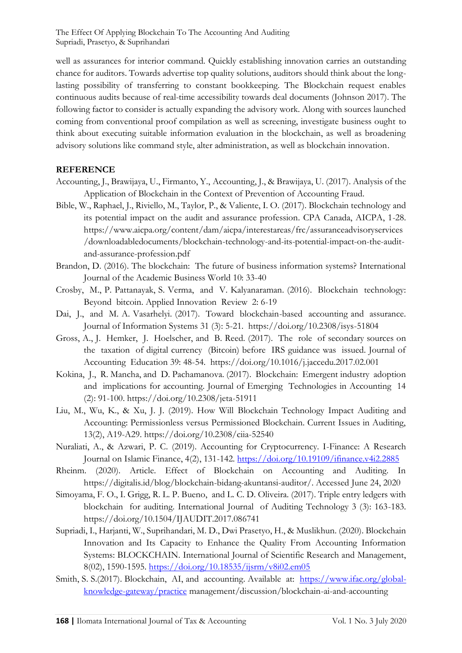well as assurances for interior command. Quickly establishing innovation carries an outstanding chance for auditors. Towards advertise top quality solutions, auditors should think about the longlasting possibility of transferring to constant bookkeeping. The Blockchain request enables continuous audits because of real-time accessibility towards deal documents (Johnson 2017). The following factor to consider is actually expanding the advisory work. Along with sources launched coming from conventional proof compilation as well as screening, investigate business ought to think about executing suitable information evaluation in the blockchain, as well as broadening advisory solutions like command style, alter administration, as well as blockchain innovation.

# **REFERENCE**

- Accounting, J., Brawijaya, U., Firmanto, Y., Accounting, J., & Brawijaya, U. (2017). Analysis of the Application of Blockchain in the Context of Prevention of Accounting Fraud.
- Bible, W., Raphael, J., Riviello, M., Taylor, P., & Valiente, I. O. (2017). Blockchain technology and its potential impact on the audit and assurance profession. CPA Canada, AICPA, 1-28. https://www.aicpa.org/content/dam/aicpa/interestareas/frc/assuranceadvisoryservices /downloadabledocuments/blockchain-technology-and-its-potential-impact-on-the-auditand-assurance-profession.pdf
- Brandon, D. (2016). The blockchain: The future of business information systems? International Journal of the Academic Business World 10: 33-40
- Crosby, M., P. Pattanayak, S. Verma, and V. Kalyanaraman. (2016). Blockchain technology: Beyond bitcoin. Applied Innovation Review 2: 6-19
- Dai, J., and M. A. Vasarhelyi. (2017). Toward blockchain-based accounting and assurance. Journal of Information Systems 31 (3): 5-21. https://doi.org/10.2308/isys-51804
- Gross, A., J. Hemker, J. Hoelscher, and B. Reed. (2017). The role of secondary sources on the taxation of digital currency (Bitcoin) before IRS guidance was issued. Journal of Accounting Education 39: 48-54. https://doi.org/10.1016/j.jaccedu.2017.02.001
- Kokina, J., R. Mancha, and D. Pachamanova. (2017). Blockchain: Emergent industry adoption and implications for accounting. Journal of Emerging Technologies in Accounting 14 (2): 91-100. https://doi.org/10.2308/jeta-51911
- Liu, M., Wu, K., & Xu, J. J. (2019). How Will Blockchain Technology Impact Auditing and Accounting: Permissionless versus Permissioned Blockchain. Current Issues in Auditing, 13(2), A19-A29. https://doi.org/10.2308/ciia-52540
- Nuraliati, A., & Azwari, P. C. (2019). Accounting for Cryptocurrency. I-Finance: A Research Journal on Islamic Finance, 4(2), 131-142.<https://doi.org/10.19109/ifinance.v4i2.2885>
- Rheinm. (2020). Article. Effect of Blockchain on Accounting and Auditing. In https://digitalis.id/blog/blockchain-bidang-akuntansi-auditor/. Accessed June 24, 2020
- Simoyama, F. O., I. Grigg, R. L. P. Bueno, and L. C. D. Oliveira. (2017). Triple entry ledgers with blockchain for auditing. International Journal of Auditing Technology 3 (3): 163-183. https://doi.org/10.1504/IJAUDIT.2017.086741
- Supriadi, I., Harjanti, W., Suprihandari, M. D., Dwi Prasetyo, H., & Muslikhun. (2020). Blockchain Innovation and Its Capacity to Enhance the Quality From Accounting Information Systems: BLOCKCHAIN. International Journal of Scientific Research and Management, 8(02), 1590-1595.<https://doi.org/10.18535/ijsrm/v8i02.em05>
- Smith, S. S.(2017). Blockchain, AI, and accounting. Available at: [https://www.ifac.org/global](https://www.ifac.org/global-knowledge-gateway/practice)[knowledge-gateway/practice](https://www.ifac.org/global-knowledge-gateway/practice) management/discussion/blockchain-ai-and-accounting